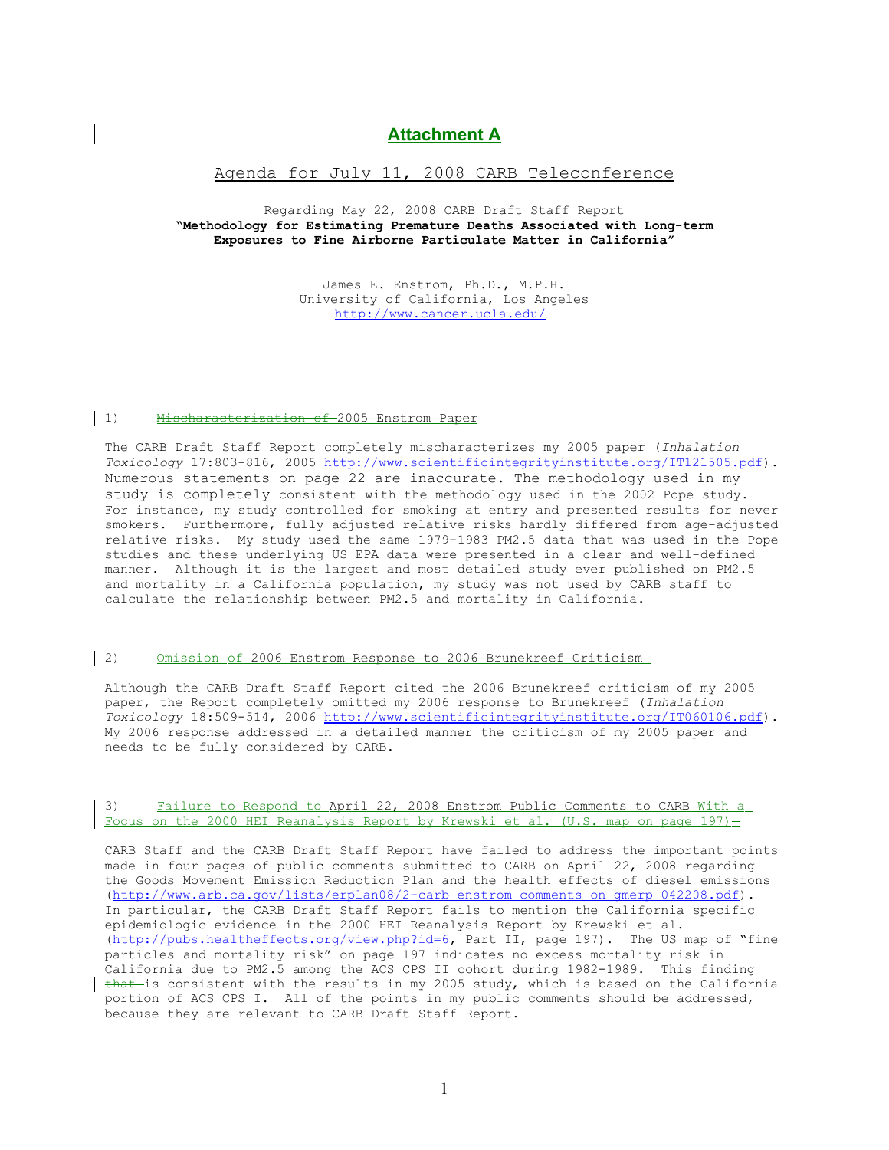# **Attachment A**

## Agenda for July 11, 2008 CARB Teleconference

Regarding May 22, 2008 CARB Draft Staff Report **"Methodology for Estimating Premature Deaths Associated with Long-term Exposures to Fine Airborne Particulate Matter in California"**

> James E. Enstrom, Ph.D., M.P.H. University of California, Los Angeles <http://www.cancer.ucla.edu/>

#### 1) Mischaracterization of 2005 Enstrom Paper

The CARB Draft Staff Report completely mischaracterizes my 2005 paper (*Inhalation Toxicology* 17:803-816, 2005 [http://www.scientificintegrityinstitute.org/IT121505.pdf\)](http://www.scientificintegrityinstitute.org/IT121505.pdf). Numerous statements on page 22 are inaccurate. The methodology used in my study is completely consistent with the methodology used in the 2002 Pope study. For instance, my study controlled for smoking at entry and presented results for never smokers. Furthermore, fully adjusted relative risks hardly differed from age-adjusted relative risks. My study used the same 1979-1983 PM2.5 data that was used in the Pope studies and these underlying US EPA data were presented in a clear and well-defined manner. Although it is the largest and most detailed study ever published on PM2.5 and mortality in a California population, my study was not used by CARB staff to calculate the relationship between PM2.5 and mortality in California.

#### 2) Omission of 2006 Enstrom Response to 2006 Brunekreef Criticism

Although the CARB Draft Staff Report cited the 2006 Brunekreef criticism of my 2005 paper, the Report completely omitted my 2006 response to Brunekreef (*Inhalation Toxicology* 18:509-514, 2006 [http://www.scientificintegrityinstitute.org/IT060106.pdf\)](http://www.scientificintegrityinstitute.org/IT060106.pdf). My 2006 response addressed in a detailed manner the criticism of my 2005 paper and needs to be fully considered by CARB.

### 3) Failure to Respond to April 22, 2008 Enstrom Public Comments to CARB With a Focus on the 2000 HEI Reanalysis Report by Krewski et al. (U.S. map on page 197)-

CARB Staff and the CARB Draft Staff Report have failed to address the important points made in four pages of public comments submitted to CARB on April 22, 2008 regarding the Goods Movement Emission Reduction Plan and the health effects of diesel emissions [\(http://www.arb.ca.gov/lists/erplan08/2-carb\\_enstrom\\_comments\\_on\\_gmerp\\_042208.pdf\)](http://www.arb.ca.gov/lists/erplan08/2-carb_enstrom_comments_on_gmerp_042208.pdf). In particular, the CARB Draft Staff Report fails to mention the California specific epidemiologic evidence in the 2000 HEI Reanalysis Report by Krewski et al. (http://pubs.healtheffects.org/view.php?id=6, Part II, page 197). The US map of "fine particles and mortality risk" on page 197 indicates no excess mortality risk in California due to PM2.5 among the ACS CPS II cohort during 1982-1989. This finding  $\frac{that - i}{s}$  consistent with the results in my 2005 study, which is based on the California portion of ACS CPS I. All of the points in my public comments should be addressed, because they are relevant to CARB Draft Staff Report.